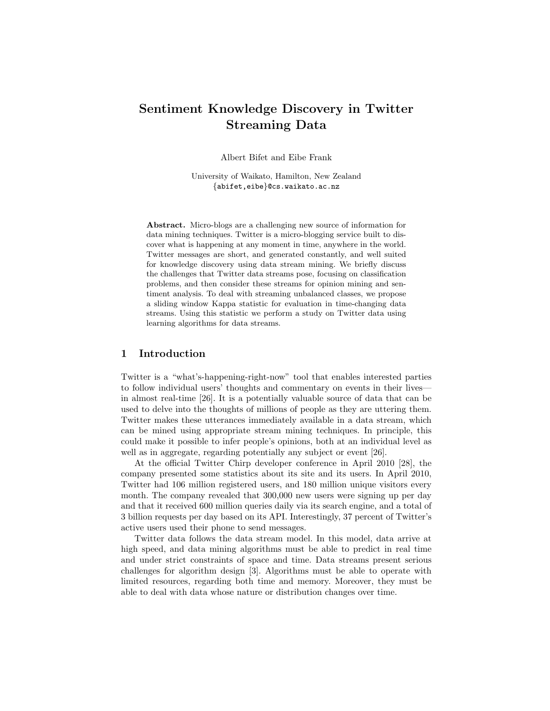# Sentiment Knowledge Discovery in Twitter Streaming Data

Albert Bifet and Eibe Frank

University of Waikato, Hamilton, New Zealand *{*abifet,eibe*}*@cs.waikato.ac.nz

Abstract. Micro-blogs are a challenging new source of information for data mining techniques. Twitter is a micro-blogging service built to discover what is happening at any moment in time, anywhere in the world. Twitter messages are short, and generated constantly, and well suited for knowledge discovery using data stream mining. We briefly discuss the challenges that Twitter data streams pose, focusing on classification problems, and then consider these streams for opinion mining and sentiment analysis. To deal with streaming unbalanced classes, we propose a sliding window Kappa statistic for evaluation in time-changing data streams. Using this statistic we perform a study on Twitter data using learning algorithms for data streams.

# 1 Introduction

Twitter is a "what's-happening-right-now" tool that enables interested parties to follow individual users' thoughts and commentary on events in their lives in almost real-time [26]. It is a potentially valuable source of data that can be used to delve into the thoughts of millions of people as they are uttering them. Twitter makes these utterances immediately available in a data stream, which can be mined using appropriate stream mining techniques. In principle, this could make it possible to infer people's opinions, both at an individual level as well as in aggregate, regarding potentially any subject or event [26].

At the official Twitter Chirp developer conference in April 2010 [28], the company presented some statistics about its site and its users. In April 2010, Twitter had 106 million registered users, and 180 million unique visitors every month. The company revealed that 300,000 new users were signing up per day and that it received 600 million queries daily via its search engine, and a total of 3 billion requests per day based on its API. Interestingly, 37 percent of Twitter's active users used their phone to send messages.

Twitter data follows the data stream model. In this model, data arrive at high speed, and data mining algorithms must be able to predict in real time and under strict constraints of space and time. Data streams present serious challenges for algorithm design [3]. Algorithms must be able to operate with limited resources, regarding both time and memory. Moreover, they must be able to deal with data whose nature or distribution changes over time.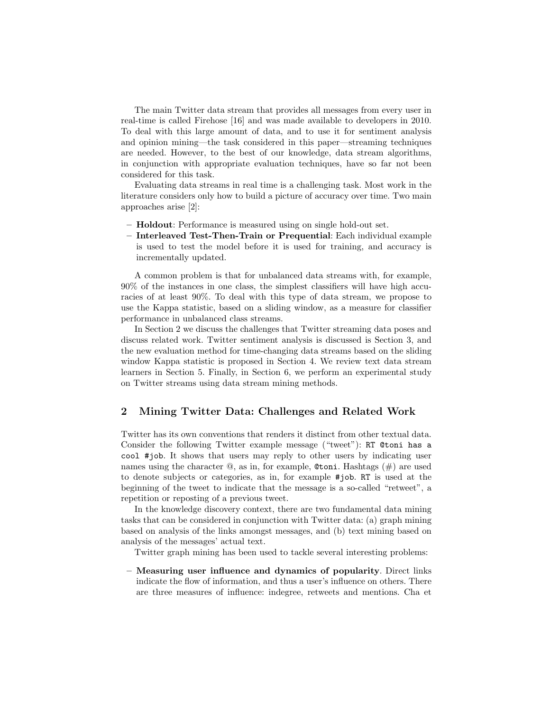The main Twitter data stream that provides all messages from every user in real-time is called Firehose [16] and was made available to developers in 2010. To deal with this large amount of data, and to use it for sentiment analysis and opinion mining—the task considered in this paper—streaming techniques are needed. However, to the best of our knowledge, data stream algorithms, in conjunction with appropriate evaluation techniques, have so far not been considered for this task.

Evaluating data streams in real time is a challenging task. Most work in the literature considers only how to build a picture of accuracy over time. Two main approaches arise [2]:

- Holdout: Performance is measured using on single hold-out set.
- Interleaved Test-Then-Train or Prequential: Each individual example is used to test the model before it is used for training, and accuracy is incrementally updated.

A common problem is that for unbalanced data streams with, for example, 90% of the instances in one class, the simplest classifiers will have high accuracies of at least 90%. To deal with this type of data stream, we propose to use the Kappa statistic, based on a sliding window, as a measure for classifier performance in unbalanced class streams.

In Section 2 we discuss the challenges that Twitter streaming data poses and discuss related work. Twitter sentiment analysis is discussed is Section 3, and the new evaluation method for time-changing data streams based on the sliding window Kappa statistic is proposed in Section 4. We review text data stream learners in Section 5. Finally, in Section 6, we perform an experimental study on Twitter streams using data stream mining methods.

## 2 Mining Twitter Data: Challenges and Related Work

Twitter has its own conventions that renders it distinct from other textual data. Consider the following Twitter example message ("tweet"): RT @toni has a cool #job. It shows that users may reply to other users by indicating user names using the character  $\mathcal{Q}$ , as in, for example,  $\mathcal{Q}$  toni. Hashtags  $(\#)$  are used to denote subjects or categories, as in, for example #job. RT is used at the beginning of the tweet to indicate that the message is a so-called "retweet", a repetition or reposting of a previous tweet.

In the knowledge discovery context, there are two fundamental data mining tasks that can be considered in conjunction with Twitter data: (a) graph mining based on analysis of the links amongst messages, and (b) text mining based on analysis of the messages' actual text.

Twitter graph mining has been used to tackle several interesting problems:

– Measuring user influence and dynamics of popularity. Direct links indicate the flow of information, and thus a user's influence on others. There are three measures of influence: indegree, retweets and mentions. Cha et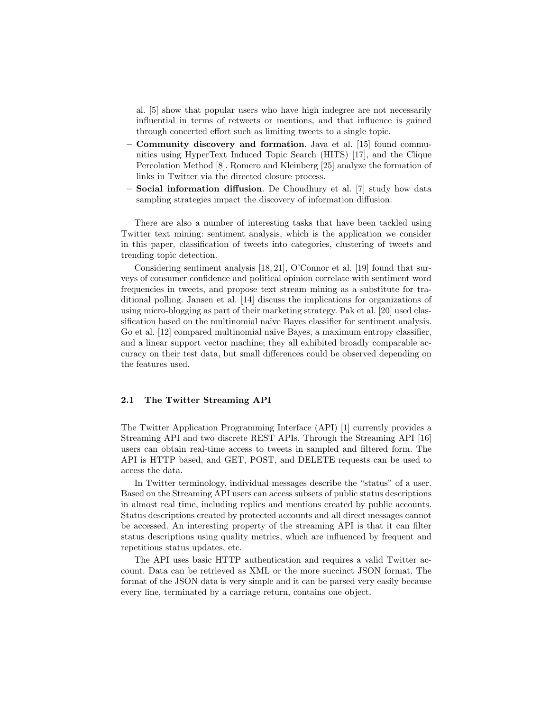al. [5] show that popular users who have high indegree are not necessarily influential in terms of retweets or mentions, and that influence is gained through concerted effort such as limiting tweets to a single topic.

- Community discovery and formation. Java et al. [15] found communities using HyperText Induced Topic Search (HITS) [17], and the Clique Percolation Method [8]. Romero and Kleinberg [25] analyze the formation of links in Twitter via the directed closure process.
- Social information diffusion. De Choudhury et al. [7] study how data sampling strategies impact the discovery of information diffusion.

There are also a number of interesting tasks that have been tackled using Twitter text mining: sentiment analysis, which is the application we consider in this paper, classification of tweets into categories, clustering of tweets and trending topic detection.

Considering sentiment analysis [18, 21], O'Connor et al. [19] found that surveys of consumer confidence and political opinion correlate with sentiment word frequencies in tweets, and propose text stream mining as a substitute for traditional polling. Jansen et al. [14] discuss the implications for organizations of using micro-blogging as part of their marketing strategy. Pak et al. [20] used classification based on the multinomial naïve Bayes classifier for sentiment analysis. Go et al. [12] compared multinomial naïve Bayes, a maximum entropy classifier, and a linear support vector machine; they all exhibited broadly comparable accuracy on their test data, but small differences could be observed depending on the features used.

#### 2.1 The Twitter Streaming API

The Twitter Application Programming Interface (API) [1] currently provides a Streaming API and two discrete REST APIs. Through the Streaming API [16] users can obtain real-time access to tweets in sampled and filtered form. The API is HTTP based, and GET, POST, and DELETE requests can be used to access the data.

In Twitter terminology, individual messages describe the "status" of a user. Based on the Streaming API users can access subsets of public status descriptions in almost real time, including replies and mentions created by public accounts. Status descriptions created by protected accounts and all direct messages cannot be accessed. An interesting property of the streaming API is that it can filter status descriptions using quality metrics, which are influenced by frequent and repetitious status updates, etc.

The API uses basic HTTP authentication and requires a valid Twitter account. Data can be retrieved as XML or the more succinct JSON format. The format of the JSON data is very simple and it can be parsed very easily because every line, terminated by a carriage return, contains one object.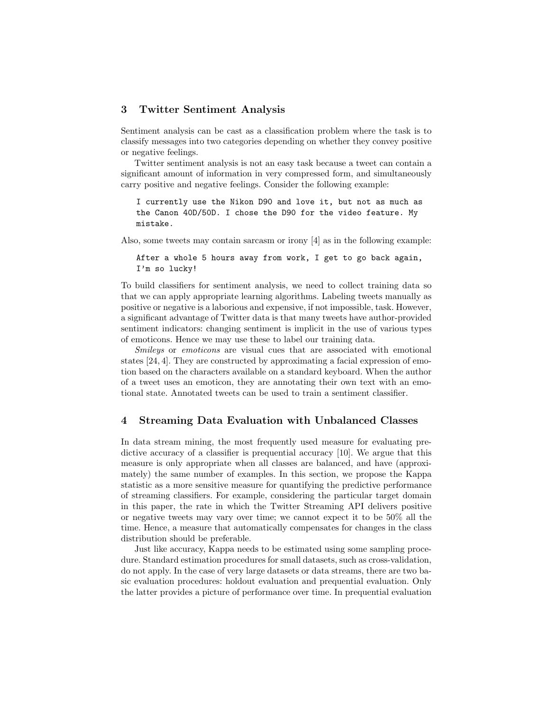# 3 Twitter Sentiment Analysis

Sentiment analysis can be cast as a classification problem where the task is to classify messages into two categories depending on whether they convey positive or negative feelings.

Twitter sentiment analysis is not an easy task because a tweet can contain a significant amount of information in very compressed form, and simultaneously carry positive and negative feelings. Consider the following example:

I currently use the Nikon D90 and love it, but not as much as the Canon 40D/50D. I chose the D90 for the video feature. My mistake.

Also, some tweets may contain sarcasm or irony [4] as in the following example:

After a whole 5 hours away from work, I get to go back again, I'm so lucky!

To build classifiers for sentiment analysis, we need to collect training data so that we can apply appropriate learning algorithms. Labeling tweets manually as positive or negative is a laborious and expensive, if not impossible, task. However, a significant advantage of Twitter data is that many tweets have author-provided sentiment indicators: changing sentiment is implicit in the use of various types of emoticons. Hence we may use these to label our training data.

Smileys or emoticons are visual cues that are associated with emotional states [24, 4]. They are constructed by approximating a facial expression of emotion based on the characters available on a standard keyboard. When the author of a tweet uses an emoticon, they are annotating their own text with an emotional state. Annotated tweets can be used to train a sentiment classifier.

# 4 Streaming Data Evaluation with Unbalanced Classes

In data stream mining, the most frequently used measure for evaluating predictive accuracy of a classifier is prequential accuracy [10]. We argue that this measure is only appropriate when all classes are balanced, and have (approximately) the same number of examples. In this section, we propose the Kappa statistic as a more sensitive measure for quantifying the predictive performance of streaming classifiers. For example, considering the particular target domain in this paper, the rate in which the Twitter Streaming API delivers positive or negative tweets may vary over time; we cannot expect it to be 50% all the time. Hence, a measure that automatically compensates for changes in the class distribution should be preferable.

Just like accuracy, Kappa needs to be estimated using some sampling procedure. Standard estimation procedures for small datasets, such as cross-validation, do not apply. In the case of very large datasets or data streams, there are two basic evaluation procedures: holdout evaluation and prequential evaluation. Only the latter provides a picture of performance over time. In prequential evaluation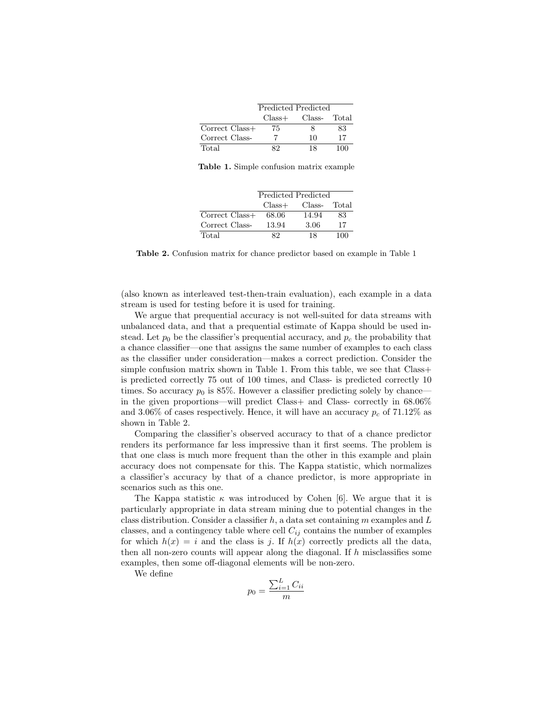|                            | Predicted Predicted |              |     |
|----------------------------|---------------------|--------------|-----|
|                            | $Class+$            | Class- Total |     |
| Correct Class <sup>+</sup> | 75.                 |              | 83  |
| Correct Class-             |                     | 10           | 17  |
| Total                      |                     | 18           | 100 |

Table 1. Simple confusion matrix example

| Predicted Predicted |                 |              |     |
|---------------------|-----------------|--------------|-----|
|                     | $\text{Class}+$ | Class- Total |     |
| Correct Class+      | 68.06           | 14.94        | 83  |
| Correct Class-      | 13.94           | 3.06         | 17  |
| Total               | 82              | 18           | 100 |

Table 2. Confusion matrix for chance predictor based on example in Table 1

(also known as interleaved test-then-train evaluation), each example in a data stream is used for testing before it is used for training.

We argue that prequential accuracy is not well-suited for data streams with unbalanced data, and that a prequential estimate of Kappa should be used instead. Let  $p_0$  be the classifier's prequential accuracy, and  $p_c$  the probability that a chance classifier—one that assigns the same number of examples to each class as the classifier under consideration—makes a correct prediction. Consider the simple confusion matrix shown in Table 1. From this table, we see that Class+ is predicted correctly 75 out of 100 times, and Class- is predicted correctly 10 times. So accuracy  $p_0$  is 85%. However a classifier predicting solely by chance in the given proportions—will predict Class+ and Class- correctly in 68.06% and 3.06% of cases respectively. Hence, it will have an accuracy  $p_c$  of 71.12% as shown in Table 2.

Comparing the classifier's observed accuracy to that of a chance predictor renders its performance far less impressive than it first seems. The problem is that one class is much more frequent than the other in this example and plain accuracy does not compensate for this. The Kappa statistic, which normalizes a classifier's accuracy by that of a chance predictor, is more appropriate in scenarios such as this one.

The Kappa statistic  $\kappa$  was introduced by Cohen [6]. We argue that it is particularly appropriate in data stream mining due to potential changes in the class distribution. Consider a classifier  $h$ , a data set containing m examples and  $L$ classes, and a contingency table where cell  $C_{ij}$  contains the number of examples for which  $h(x) = i$  and the class is j. If  $h(x)$  correctly predicts all the data, then all non-zero counts will appear along the diagonal. If  $h$  misclassifies some examples, then some off-diagonal elements will be non-zero.

We define

$$
p_0 = \frac{\sum_{i=1}^{L} C_{ii}}{m}
$$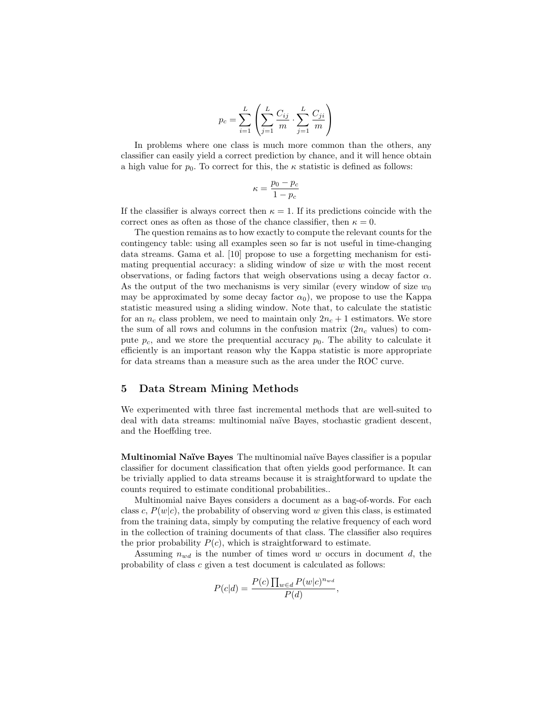$$
p_c = \sum_{i=1}^{L} \left( \sum_{j=1}^{L} \frac{C_{ij}}{m} \cdot \sum_{j=1}^{L} \frac{C_{ji}}{m} \right)
$$

In problems where one class is much more common than the others, any classifier can easily yield a correct prediction by chance, and it will hence obtain a high value for  $p_0$ . To correct for this, the  $\kappa$  statistic is defined as follows:

$$
\kappa = \frac{p_0 - p_c}{1 - p_c}
$$

If the classifier is always correct then  $\kappa = 1$ . If its predictions coincide with the correct ones as often as those of the chance classifier, then  $\kappa = 0$ .

The question remains as to how exactly to compute the relevant counts for the contingency table: using all examples seen so far is not useful in time-changing data streams. Gama et al. [10] propose to use a forgetting mechanism for estimating prequential accuracy: a sliding window of size  $w$  with the most recent observations, or fading factors that weigh observations using a decay factor  $\alpha$ . As the output of the two mechanisms is very similar (every window of size  $w_0$ ) may be approximated by some decay factor  $\alpha_0$ , we propose to use the Kappa statistic measured using a sliding window. Note that, to calculate the statistic for an  $n_c$  class problem, we need to maintain only  $2n_c + 1$  estimators. We store the sum of all rows and columns in the confusion matrix  $(2n_c$  values) to compute  $p_c$ , and we store the prequential accuracy  $p_0$ . The ability to calculate it efficiently is an important reason why the Kappa statistic is more appropriate for data streams than a measure such as the area under the ROC curve.

#### 5 Data Stream Mining Methods

We experimented with three fast incremental methods that are well-suited to deal with data streams: multinomial naïve Bayes, stochastic gradient descent, and the Hoeffding tree.

Multinomial Naïve Bayes The multinomial naïve Bayes classifier is a popular classifier for document classification that often yields good performance. It can be trivially applied to data streams because it is straightforward to update the counts required to estimate conditional probabilities..

Multinomial naive Bayes considers a document as a bag-of-words. For each class c,  $P(w|c)$ , the probability of observing word w given this class, is estimated from the training data, simply by computing the relative frequency of each word in the collection of training documents of that class. The classifier also requires the prior probability  $P(c)$ , which is straightforward to estimate.

Assuming  $n_{wd}$  is the number of times word w occurs in document d, the probability of class c given a test document is calculated as follows:

$$
P(c|d) = \frac{P(c) \prod_{w \in d} P(w|c)^{n_{wd}}}{P(d)},
$$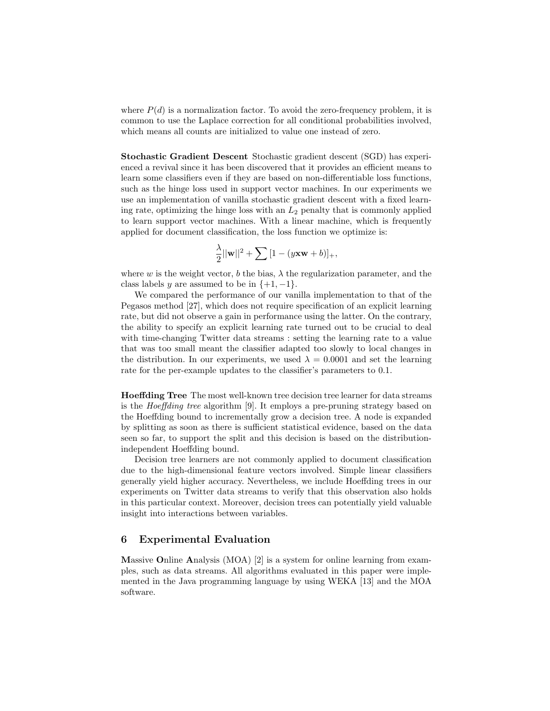where  $P(d)$  is a normalization factor. To avoid the zero-frequency problem, it is common to use the Laplace correction for all conditional probabilities involved, which means all counts are initialized to value one instead of zero.

Stochastic Gradient Descent Stochastic gradient descent (SGD) has experienced a revival since it has been discovered that it provides an efficient means to learn some classifiers even if they are based on non-differentiable loss functions, such as the hinge loss used in support vector machines. In our experiments we use an implementation of vanilla stochastic gradient descent with a fixed learning rate, optimizing the hinge loss with an  $L_2$  penalty that is commonly applied to learn support vector machines. With a linear machine, which is frequently applied for document classification, the loss function we optimize is:

$$
\frac{\lambda}{2}||\mathbf{w}||^2 + \sum [1 - (y\mathbf{x}\mathbf{w} + b)]_+,
$$

where w is the weight vector, b the bias,  $\lambda$  the regularization parameter, and the class labels y are assumed to be in  $\{+1, -1\}$ .

We compared the performance of our vanilla implementation to that of the Pegasos method [27], which does not require specification of an explicit learning rate, but did not observe a gain in performance using the latter. On the contrary, the ability to specify an explicit learning rate turned out to be crucial to deal with time-changing Twitter data streams : setting the learning rate to a value that was too small meant the classifier adapted too slowly to local changes in the distribution. In our experiments, we used  $\lambda = 0.0001$  and set the learning rate for the per-example updates to the classifier's parameters to 0.1.

Hoeffding Tree The most well-known tree decision tree learner for data streams is the Hoeffding tree algorithm [9]. It employs a pre-pruning strategy based on the Hoeffding bound to incrementally grow a decision tree. A node is expanded by splitting as soon as there is sufficient statistical evidence, based on the data seen so far, to support the split and this decision is based on the distributionindependent Hoeffding bound.

Decision tree learners are not commonly applied to document classification due to the high-dimensional feature vectors involved. Simple linear classifiers generally yield higher accuracy. Nevertheless, we include Hoeffding trees in our experiments on Twitter data streams to verify that this observation also holds in this particular context. Moreover, decision trees can potentially yield valuable insight into interactions between variables.

#### 6 Experimental Evaluation

Massive Online Analysis (MOA) [2] is a system for online learning from examples, such as data streams. All algorithms evaluated in this paper were implemented in the Java programming language by using WEKA [13] and the MOA software.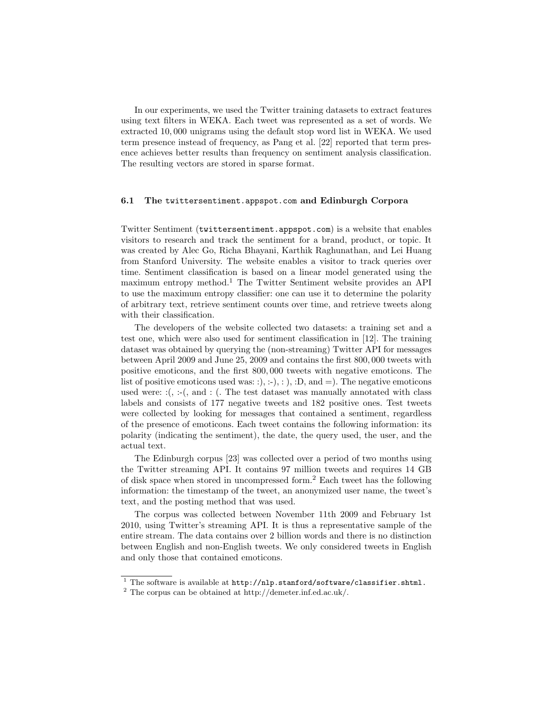In our experiments, we used the Twitter training datasets to extract features using text filters in WEKA. Each tweet was represented as a set of words. We extracted 10, 000 unigrams using the default stop word list in WEKA. We used term presence instead of frequency, as Pang et al. [22] reported that term presence achieves better results than frequency on sentiment analysis classification. The resulting vectors are stored in sparse format.

#### 6.1 The twittersentiment.appspot.com and Edinburgh Corpora

Twitter Sentiment (twittersentiment.appspot.com) is a website that enables visitors to research and track the sentiment for a brand, product, or topic. It was created by Alec Go, Richa Bhayani, Karthik Raghunathan, and Lei Huang from Stanford University. The website enables a visitor to track queries over time. Sentiment classification is based on a linear model generated using the maximum entropy method.<sup>1</sup> The Twitter Sentiment website provides an API to use the maximum entropy classifier: one can use it to determine the polarity of arbitrary text, retrieve sentiment counts over time, and retrieve tweets along with their classification.

The developers of the website collected two datasets: a training set and a test one, which were also used for sentiment classification in [12]. The training dataset was obtained by querying the (non-streaming) Twitter API for messages between April 2009 and June 25, 2009 and contains the first 800, 000 tweets with positive emoticons, and the first 800, 000 tweets with negative emoticons. The list of positive emoticons used was: :  $, -$ ,  $, -$ ,  $, \cdot$ ,  $, \cdot$ ,  $, \cdot$ ,  $, \cdot$ ,  $, \cdot$ ,  $\theta$ , and  $=$   $\theta$ . The negative emoticons used were:  $:(, -)$ , and  $:($ . The test dataset was manually annotated with class labels and consists of 177 negative tweets and 182 positive ones. Test tweets were collected by looking for messages that contained a sentiment, regardless of the presence of emoticons. Each tweet contains the following information: its polarity (indicating the sentiment), the date, the query used, the user, and the actual text.

The Edinburgh corpus [23] was collected over a period of two months using the Twitter streaming API. It contains 97 million tweets and requires 14 GB of disk space when stored in uncompressed form.<sup>2</sup> Each tweet has the following information: the timestamp of the tweet, an anonymized user name, the tweet's text, and the posting method that was used.

The corpus was collected between November 11th 2009 and February 1st 2010, using Twitter's streaming API. It is thus a representative sample of the entire stream. The data contains over 2 billion words and there is no distinction between English and non-English tweets. We only considered tweets in English and only those that contained emoticons.

 $1$  The software is available at http://nlp.stanford/software/classifier.shtml.

<sup>2</sup> The corpus can be obtained at http://demeter.inf.ed.ac.uk/.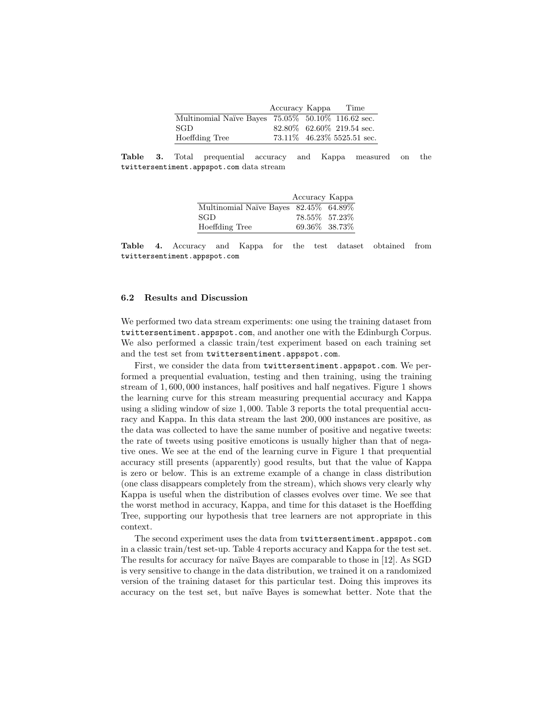|                                                     | Accuracy Kappa | Time                           |
|-----------------------------------------------------|----------------|--------------------------------|
| Multinomial Naïve Bayes 75.05\% 50.10\% 116.62 sec. |                |                                |
| <b>SGD</b>                                          |                | $82.80\%$ 62.60\% 219.54 sec.  |
| Hoeffding Tree                                      |                | $73.11\%$ 46.23\% 5525.51 sec. |

Table 3. Total prequential accuracy and Kappa measured on the twittersentiment.appspot.com data stream

|                                         | Accuracy Kappa  |  |
|-----------------------------------------|-----------------|--|
| Multinomial Naïve Bayes 82.45\% 64.89\% |                 |  |
| <b>SGD</b>                              | 78.55% 57.23%   |  |
| Hoeffding Tree                          | 69.36\% 38.73\% |  |

Table 4. Accuracy and Kappa for the test dataset obtained from twittersentiment.appspot.com

#### 6.2 Results and Discussion

We performed two data stream experiments: one using the training dataset from twittersentiment.appspot.com, and another one with the Edinburgh Corpus. We also performed a classic train/test experiment based on each training set and the test set from twittersentiment.appspot.com.

First, we consider the data from twittersentiment.appspot.com. We performed a prequential evaluation, testing and then training, using the training stream of 1, 600, 000 instances, half positives and half negatives. Figure 1 shows the learning curve for this stream measuring prequential accuracy and Kappa using a sliding window of size 1, 000. Table 3 reports the total prequential accuracy and Kappa. In this data stream the last 200, 000 instances are positive, as the data was collected to have the same number of positive and negative tweets: the rate of tweets using positive emoticons is usually higher than that of negative ones. We see at the end of the learning curve in Figure 1 that prequential accuracy still presents (apparently) good results, but that the value of Kappa is zero or below. This is an extreme example of a change in class distribution (one class disappears completely from the stream), which shows very clearly why Kappa is useful when the distribution of classes evolves over time. We see that the worst method in accuracy, Kappa, and time for this dataset is the Hoeffding Tree, supporting our hypothesis that tree learners are not appropriate in this context.

The second experiment uses the data from twittersentiment.appspot.com in a classic train/test set-up. Table 4 reports accuracy and Kappa for the test set. The results for accuracy for naïve Bayes are comparable to those in [12]. As SGD is very sensitive to change in the data distribution, we trained it on a randomized version of the training dataset for this particular test. Doing this improves its accuracy on the test set, but na¨ıve Bayes is somewhat better. Note that the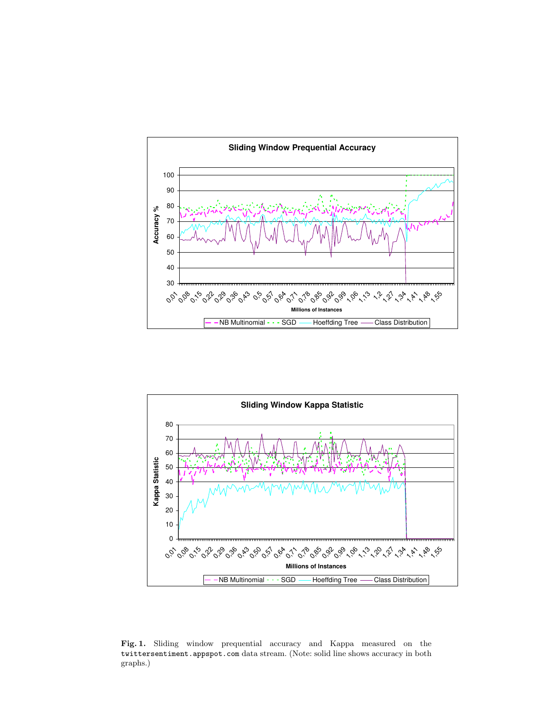



Fig. 1. Sliding window prequential accuracy and Kappa measured on the twittersentiment.appspot.com data stream. (Note: solid line shows accuracy in both graphs.)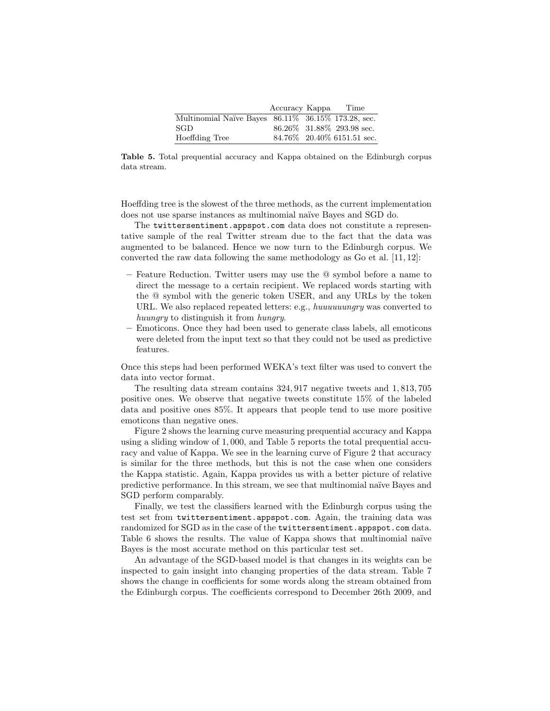|                                                      | Accuracy Kappa | Time                          |
|------------------------------------------------------|----------------|-------------------------------|
| Multinomial Naïve Bayes 86.11\% 36.15\% 173.28, sec. |                |                               |
| SGD.                                                 |                | $86.26\%$ 31.88\% 293.98 sec. |
| Hoeffding Tree                                       |                | 84.76\% 20.40\% 6151.51 sec.  |

Table 5. Total prequential accuracy and Kappa obtained on the Edinburgh corpus data stream.

Hoeffding tree is the slowest of the three methods, as the current implementation does not use sparse instances as multinomial naïve Bayes and SGD do.

The twittersentiment.appspot.com data does not constitute a representative sample of the real Twitter stream due to the fact that the data was augmented to be balanced. Hence we now turn to the Edinburgh corpus. We converted the raw data following the same methodology as Go et al.  $[11, 12]$ :

- Feature Reduction. Twitter users may use the @ symbol before a name to direct the message to a certain recipient. We replaced words starting with the @ symbol with the generic token USER, and any URLs by the token URL. We also replaced repeated letters: e.g., huuuuuungry was converted to huungry to distinguish it from hungry.
- Emoticons. Once they had been used to generate class labels, all emoticons were deleted from the input text so that they could not be used as predictive features.

Once this steps had been performed WEKA's text filter was used to convert the data into vector format.

The resulting data stream contains 324, 917 negative tweets and 1, 813, 705 positive ones. We observe that negative tweets constitute 15% of the labeled data and positive ones 85%. It appears that people tend to use more positive emoticons than negative ones.

Figure 2 shows the learning curve measuring prequential accuracy and Kappa using a sliding window of 1, 000, and Table 5 reports the total prequential accuracy and value of Kappa. We see in the learning curve of Figure 2 that accuracy is similar for the three methods, but this is not the case when one considers the Kappa statistic. Again, Kappa provides us with a better picture of relative predictive performance. In this stream, we see that multinomial na¨ıve Bayes and SGD perform comparably.

Finally, we test the classifiers learned with the Edinburgh corpus using the test set from twittersentiment.appspot.com. Again, the training data was randomized for SGD as in the case of the twittersentiment.appspot.com data. Table 6 shows the results. The value of Kappa shows that multinomial naïve Bayes is the most accurate method on this particular test set.

An advantage of the SGD-based model is that changes in its weights can be inspected to gain insight into changing properties of the data stream. Table 7 shows the change in coefficients for some words along the stream obtained from the Edinburgh corpus. The coefficients correspond to December 26th 2009, and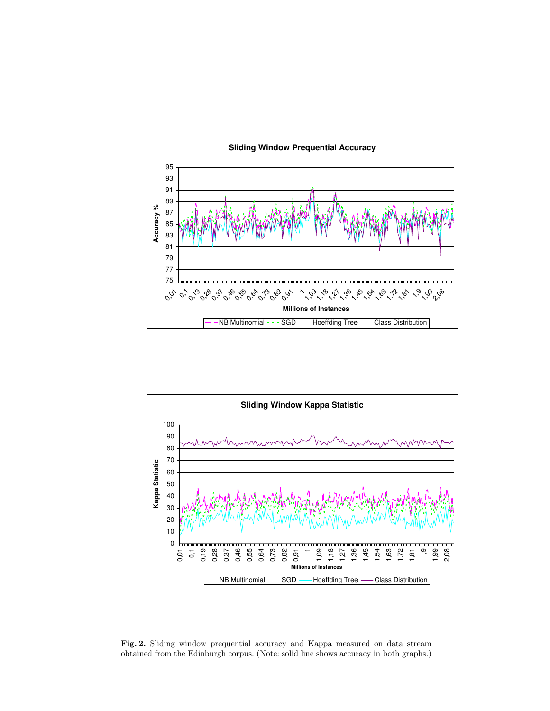



Fig. 2. Sliding window prequential accuracy and Kappa measured on data stream obtained from the Edinburgh corpus. (Note: solid line shows accuracy in both graphs.)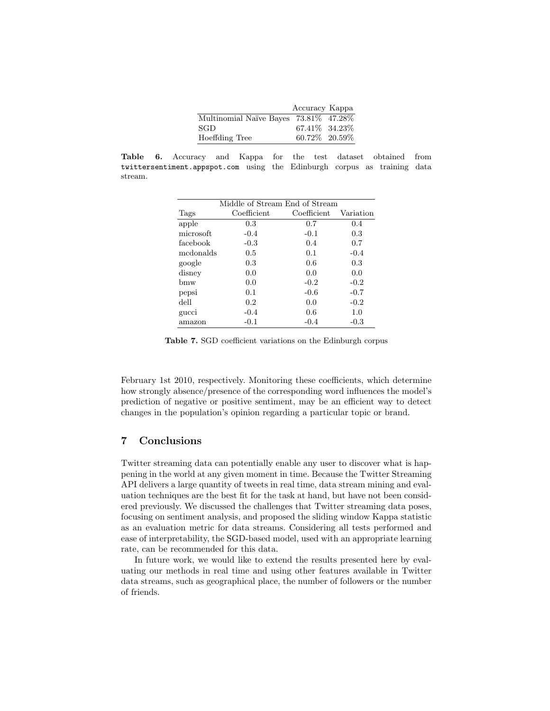|                                         | Accuracy Kappa  |  |
|-----------------------------------------|-----------------|--|
| Multinomial Naïve Bayes 73.81\% 47.28\% |                 |  |
| SGD                                     | 67.41\% 34.23\% |  |
| Hoeffding Tree                          | 60.72\% 20.59\% |  |

Table 6. Accuracy and Kappa for the test dataset obtained from twittersentiment.appspot.com using the Edinburgh corpus as training data stream.

| Middle of Stream End of Stream |             |             |           |
|--------------------------------|-------------|-------------|-----------|
| Tags                           | Coefficient | Coefficient | Variation |
| apple                          | 0.3         | 0.7         | 0.4       |
| microsoft                      | $-0.4$      | $-0.1$      | 0.3       |
| facebook                       | $-0.3$      | 0.4         | 0.7       |
| mcdonalds                      | 0.5         | 0.1         | $-0.4$    |
| google                         | 0.3         | 0.6         | 0.3       |
| disney                         | 0.0         | 0.0         | 0.0       |
| bmw                            | 0.0         | $-0.2$      | $-0.2$    |
| pepsi                          | 0.1         | $-0.6$      | $-0.7$    |
| dell                           | 0.2         | 0.0         | $-0.2$    |
| gucci                          | $-0.4$      | 0.6         | 1.0       |
| amazon                         | $-0.1$      | $-0.4$      | $-0.3$    |

Table 7. SGD coefficient variations on the Edinburgh corpus

February 1st 2010, respectively. Monitoring these coefficients, which determine how strongly absence/presence of the corresponding word influences the model's prediction of negative or positive sentiment, may be an efficient way to detect changes in the population's opinion regarding a particular topic or brand.

# 7 Conclusions

Twitter streaming data can potentially enable any user to discover what is happening in the world at any given moment in time. Because the Twitter Streaming API delivers a large quantity of tweets in real time, data stream mining and evaluation techniques are the best fit for the task at hand, but have not been considered previously. We discussed the challenges that Twitter streaming data poses, focusing on sentiment analysis, and proposed the sliding window Kappa statistic as an evaluation metric for data streams. Considering all tests performed and ease of interpretability, the SGD-based model, used with an appropriate learning rate, can be recommended for this data.

In future work, we would like to extend the results presented here by evaluating our methods in real time and using other features available in Twitter data streams, such as geographical place, the number of followers or the number of friends.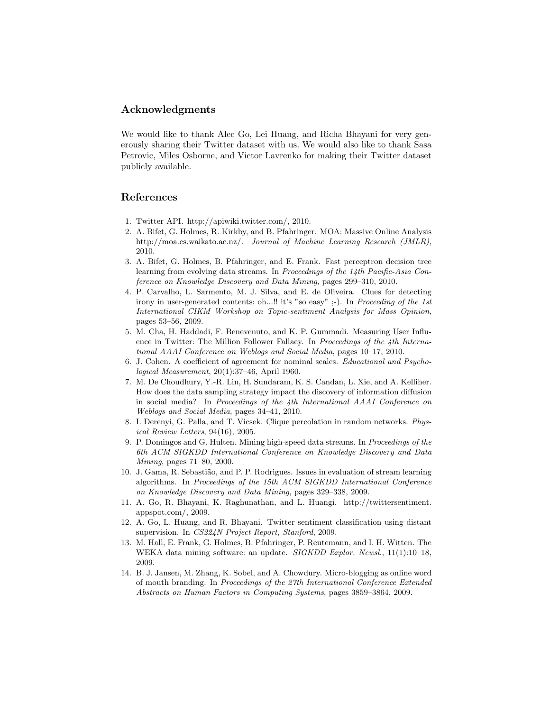# Acknowledgments

We would like to thank Alec Go, Lei Huang, and Richa Bhayani for very generously sharing their Twitter dataset with us. We would also like to thank Sasa Petrovic, Miles Osborne, and Victor Lavrenko for making their Twitter dataset publicly available.

# References

- 1. Twitter API. http://apiwiki.twitter.com/, 2010.
- 2. A. Bifet, G. Holmes, R. Kirkby, and B. Pfahringer. MOA: Massive Online Analysis http://moa.cs.waikato.ac.nz/. *Journal of Machine Learning Research (JMLR)*, 2010.
- 3. A. Bifet, G. Holmes, B. Pfahringer, and E. Frank. Fast perceptron decision tree learning from evolving data streams. In *Proceedings of the 14th Pacific-Asia Conference on Knowledge Discovery and Data Mining*, pages 299–310, 2010.
- 4. P. Carvalho, L. Sarmento, M. J. Silva, and E. de Oliveira. Clues for detecting irony in user-generated contents: oh...!! it's "so easy" ;-). In *Proceeding of the 1st International CIKM Workshop on Topic-sentiment Analysis for Mass Opinion*, pages 53–56, 2009.
- 5. M. Cha, H. Haddadi, F. Benevenuto, and K. P. Gummadi. Measuring User Influence in Twitter: The Million Follower Fallacy. In *Proceedings of the 4th International AAAI Conference on Weblogs and Social Media*, pages 10–17, 2010.
- 6. J. Cohen. A coefficient of agreement for nominal scales. *Educational and Psychological Measurement*, 20(1):37–46, April 1960.
- 7. M. De Choudhury, Y.-R. Lin, H. Sundaram, K. S. Candan, L. Xie, and A. Kelliher. How does the data sampling strategy impact the discovery of information diffusion in social media? In *Proceedings of the 4th International AAAI Conference on Weblogs and Social Media*, pages 34–41, 2010.
- 8. I. Derenyi, G. Palla, and T. Vicsek. Clique percolation in random networks. *Physical Review Letters*, 94(16), 2005.
- 9. P. Domingos and G. Hulten. Mining high-speed data streams. In *Proceedings of the 6th ACM SIGKDD International Conference on Knowledge Discovery and Data Mining*, pages 71–80, 2000.
- 10. J. Gama, R. Sebastião, and P. P. Rodrigues. Issues in evaluation of stream learning algorithms. In *Proceedings of the 15th ACM SIGKDD International Conference on Knowledge Discovery and Data Mining*, pages 329–338, 2009.
- 11. A. Go, R. Bhayani, K. Raghunathan, and L. Huangi. http://twittersentiment. appspot.com/, 2009.
- 12. A. Go, L. Huang, and R. Bhayani. Twitter sentiment classification using distant supervision. In *CS224N Project Report, Stanford*, 2009.
- 13. M. Hall, E. Frank, G. Holmes, B. Pfahringer, P. Reutemann, and I. H. Witten. The WEKA data mining software: an update. *SIGKDD Explor. Newsl.*, 11(1):10–18, 2009.
- 14. B. J. Jansen, M. Zhang, K. Sobel, and A. Chowdury. Micro-blogging as online word of mouth branding. In *Proceedings of the 27th International Conference Extended Abstracts on Human Factors in Computing Systems*, pages 3859–3864, 2009.